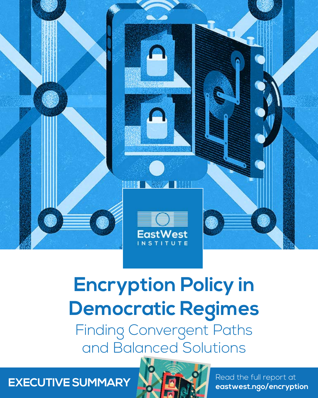

# **Encryption Policy in Democratic Regimes**

Finding Convergent Paths and Balanced Solutions



**EXECUTIVE SUMMARY NAMEDIAL Read the full report at [eastwest.ngo/encryption](https://www.eastwest.ngo/encryption)**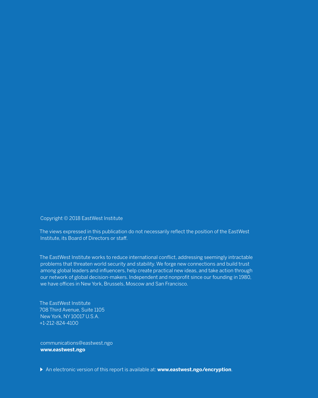Copyright © 2018 EastWest Institute

The views expressed in this publication do not necessarily reflect the position of the EastWest Institute, its Board of Directors or staff.

The EastWest Institute works to reduce international conflict, addressing seemingly intractable problems that threaten world security and stability. We forge new connections and build trust among global leaders and influencers, help create practical new ideas, and take action through our network of global decision-makers. Independent and nonprofit since our founding in 1980, we have offices in New York, Brussels, Moscow and San Francisco.

The EastWest Institute 708 Third Avenue, Suite 1105 New York, NY 10017 U.S.A. +1-212-824-4100

communications@eastwest.ngo **www.eastwest.ngo**

An electronic version of this report is available at: **www.eastwest.ngo/encryption**.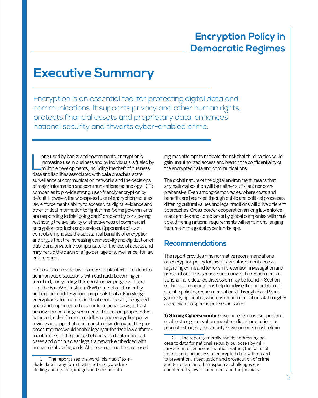## **Encryption Policy in Democratic Regimes**

## **Executive Summary**

Encryption is an essential tool for protecting digital data and communications. It supports privacy and other human rights, protects financial assets and proprietary data, enhances national security and thwarts cyber-enabled crime.

lead by banks and governments, encryption's<br>increasing use in business and by individuals is fueld<br>multiple developments, including the theft of busine<br>data and liabilities associated with data breaches, state ong used by banks and governments, encryption's increasing use in business and by individuals is fueled by multiple developments, including the theft of business surveillance of communication networks and the decisions of major information and communications technology (ICT) companies to provide strong, user-friendly encryption by default. However, the widespread use of encryption reduces law enforcement's ability to access vital digital evidence and other critical information to fight crime. Some governments are responding to this "going dark" problem by considering restricting the availability or effectiveness of commercial encryption products and services. Opponents of such controls emphasize the substantial benefits of encryption and argue that the increasing connectivity and digitization of public and private life compensate for the loss of access and may herald the dawn of a "golden age of surveillance" for law enforcement.

Proposals to provide lawful access to plaintext<sup>1</sup> often lead to acrimonious discussions, with each side becoming entrenched, and yielding little constructive progress. Therefore, the EastWest Institute (EWI) has set out to identify and explore middle-ground proposals that acknowledge encryption's dual nature and that could feasibly be agreed upon and implemented on an international basis, at least among democratic governments. This report proposes two balanced, risk-informed, middle-ground encryption policy regimes in support of more constructive dialogue. The proposed regimes would enable legally authorized law enforcement access to the plaintext of encrypted data in limited cases and within a clear legal framework embedded with human rights safeguards. At the same time, the proposed

regimes attempt to mitigate the risk that third parties could gain unauthorized access and breach the confidentiality of the encrypted data and communications.

The global nature of the digital environment means that any national solution will be neither sufficient nor comprehensive. Even among democracies, where costs and benefits are balanced through public and political processes, differing cultural values and legal traditions will drive different approaches. Cross-border cooperation among law enforcement entities and compliance by global companies with multiple, differing national requirements will remain challenging features in the global cyber landscape.

#### **Recommendations**

The report provides nine normative recommendations on encryption policy for lawful law enforcement access regarding crime and terrorism prevention, investigation and prosecution.2 This section summarizes the recommendations; a more detailed discussion may be found in Section 6. The recommendations help to advise the formulation of specific policies; recommendations 1 through 3 and 9 are generally applicable, whereas recommendations 4 through 8 are relevant to specific policies or issues.

**1) Strong Cybersecurity.** Governments must support and enable strong encryption and other digital protections to promote strong cybersecurity. Governments must refrain

<sup>1</sup> The report uses the word "plaintext" to include data in any form that is not encrypted, including audio, video, images and sensor data.

The report generally avoids addressing access to data for national security purposes by military and intelligence authorities. Rather, the focus of the report is on access to encrypted data with regard to prevention, investigation and prosecution of crime and terrorism and the respective challenges encountered by law enforcement and the judiciary.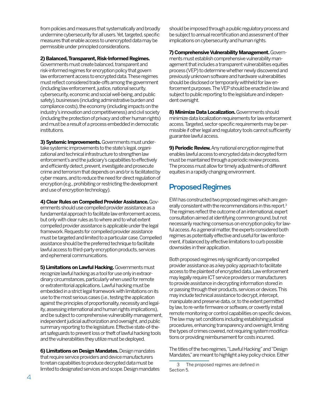from policies and measures that systematically and broadly undermine cybersecurity for all users. Yet, targeted, specific measures that enable access to unencrypted data may be permissible under principled considerations.

#### **2) Balanced, Transparent, Risk-Informed Regimes.**

Governments must create balanced, transparent and risk-informed regimes for encryption policy that govern law enforcement access to encrypted data. These regimes must reflect considered trade-offs among the government (including law enforcement, justice, national security, cybersecurity, economic and social well-being, and public safety), businesses (including administrative burden and compliance costs), the economy (including impacts on the industry's innovation and competitiveness) and civil society (including the protection of privacy and other human rights) and must be a result of a process embedded in democratic institutions.

**3) Systemic Improvements.** Governments must undertake systemic improvements to the state's legal, organizational and technical infrastructure to strengthen law enforcement's and the judiciary's capabilities to effectively and efficiently detect, prevent, investigate and prosecute crime and terrorism that depends on and/or is facilitated by cyber means, and to reduce the need for direct regulation of encryption (e.g., prohibiting or restricting the development and use of encryption technology).

**4) Clear Rules on Compelled Provider Assistance.** Governments should use compelled provider assistance as a fundamental approach to facilitate law enforcement access, but only with clear rules as to where and to what extent compelled provider assistance is applicable under the legal framework. Requests for compelled provider assistance must be targeted and limited to a particular case. Compelled assistance should be the preferred technique to facilitate lawful access to third-party encryption products, services and ephemeral communications.

**5) Limitations on Lawful Hacking. Governments must** recognize lawful hacking as a tool for use only in extraordinary circumstances, particularly when used for remote or extraterritorial applications. Lawful hacking must be embedded in a strict legal framework with limitations on its use to the most serious cases (i.e., testing the application against the principles of proportionality, necessity and legality, assessing international and human rights implications), and be subject to comprehensive vulnerability management, independent judicial authorization and oversight, and public summary reporting to the legislature. Effective state-of-theart safeguards to prevent loss or theft of lawful hacking tools and the vulnerabilities they utilize must be deployed.

**6) Limitations on Design Mandates.** Design mandates that require service providers and device manufacturers to retain capabilities to produce decrypted data must be limited to designated services and scope. Design mandates should be imposed through a public regulatory process and be subject to annual recertification and assessment of their implications on cybersecurity and human rights.

**7) Comprehensive Vulnerability Management.** Governments must establish comprehensive vulnerability management that includes a transparent vulnerabilities equities process (VEP) to determine whether newly discovered and previously unknown software and hardware vulnerabilities should be disclosed or temporarily withheld for law enforcement purposes. The VEP should be enacted in law and subject to public reporting to the legislature and independent oversight.

**8) Minimize Data Localization.** Governments should minimize data localization requirements for law enforcement access. Targeted, sector-specific requirements may be permissible if other legal and regulatory tools cannot sufficiently guarantee lawful access.

**9) Periodic Review.** Any national encryption regime that enables lawful access to encrypted data in decrypted form must be maintained through a periodic review process. The process must allow for timely adjustments of different equities in a rapidly changing environment.

#### **Proposed Regimes**

EWI has constructed two proposed regimes which are generally consistent with the recommendations in this report.3 The regimes reflect the outcome of an international, expert consultation aimed at identifying common ground, but not necessarily reaching consensus on encryption policy for lawful access. As a general matter, the experts considered both regimes as potentially effective and useful for law enforcement, if balanced by effective limitations to curb possible downsides in their application.

Both proposed regimes rely significantly on compelled provider assistance as a key policy approach to facilitate access to the plaintext of encrypted data. Law enforcement may legally require ICT service providers or manufacturers to provide assistance in decrypting information stored in or passing through their products, services or devices. This may include technical assistance to decrypt, intercept, manipulate and preserve data, or, to the extent permitted by law, to re-write firmware or software, or covertly install remote monitoring or control capabilities on specific devices. The law may set conditions including establishing judicial procedures, enhancing transparency and oversight, limiting the types of crimes covered, not requiring system modifications or providing reimbursement for costs incurred.

The titles of the two regimes, "Lawful Hacking" and "Design Mandates," are meant to highlight a key policy choice. Either

<sup>3</sup> The proposed regimes are defined in Section 5.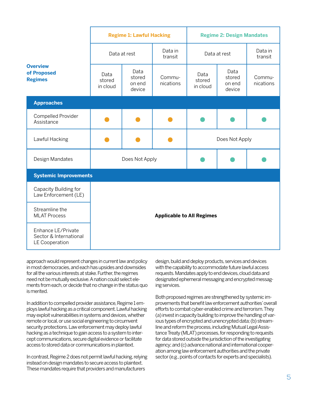|                                                                | <b>Regime 1: Lawful Hacking</b>  |                                    |                     | <b>Regime 2: Design Mandates</b> |                                    |                     |
|----------------------------------------------------------------|----------------------------------|------------------------------------|---------------------|----------------------------------|------------------------------------|---------------------|
| <b>Overview</b><br>of Proposed<br><b>Regimes</b>               | Data at rest                     |                                    | Data in<br>transit  | Data at rest                     |                                    | Data in<br>transit  |
|                                                                | Data<br>stored<br>in cloud       | Data<br>stored<br>on end<br>device | Commu-<br>nications | Data<br>stored<br>in cloud       | Data<br>stored<br>on end<br>device | Commu-<br>nications |
| <b>Approaches</b>                                              |                                  |                                    |                     |                                  |                                    |                     |
| Compelled Provider<br>Assistance                               |                                  |                                    |                     |                                  |                                    |                     |
| Lawful Hacking                                                 |                                  |                                    |                     | Does Not Apply                   |                                    |                     |
| Design Mandates                                                | Does Not Apply                   |                                    |                     |                                  |                                    |                     |
| <b>Systemic Improvements</b>                                   |                                  |                                    |                     |                                  |                                    |                     |
| Capacity Building for<br>Law Enforcement (LE)                  | <b>Applicable to All Regimes</b> |                                    |                     |                                  |                                    |                     |
| Streamline the<br><b>MLAT Process</b>                          |                                  |                                    |                     |                                  |                                    |                     |
| Enhance LE/Private<br>Sector & International<br>LE Cooperation |                                  |                                    |                     |                                  |                                    |                     |

approach would represent changes in current law and policy in most democracies, and each has upsides and downsides for all the various interests at stake. Further, the regimes need not be mutually exclusive. A nation could select elements from each, or decide that no change in the status quo is merited.

In addition to compelled provider assistance, Regime 1 employs lawful hacking as a critical component. Lawful hacking may exploit vulnerabilities in systems and devices, whether remote or local, or use social engineering to circumvent security protections. Law enforcement may deploy lawful hacking as a technique to gain access to a system to intercept communications, secure digital evidence or facilitate access to stored data or communications in plaintext.

In contrast, Regime 2 does not permit lawful hacking, relying instead on design mandates to secure access to plaintext. These mandates require that providers and manufacturers

design, build and deploy products, services and devices with the capability to accommodate future lawful access requests. Mandates apply to end devices, cloud data and designated ephemeral messaging and encrypted messaging services.

Both proposed regimes are strengthened by systemic improvements that benefit law enforcement authorities' overall efforts to combat cyber-enabled crime and terrorism. They (a) invest in capacity building to improve the handling of various types of encrypted and unencrypted data; (b) streamline and reform the process, including Mutual Legal Assistance Treaty (MLAT) processes, for responding to requests for data stored outside the jurisdiction of the investigating agency; and (c) advance national and international cooperation among law enforcement authorities and the private sector (e.g., points of contacts for experts and specialists).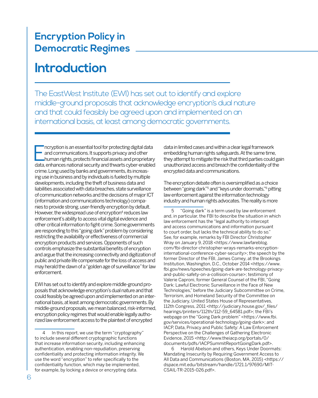### **Encryption Policy in Democratic Regimes**

## **Introduction**

The EastWest Institute (EWI) has set out to identify and explore middle-ground proposals that acknowledge encryption's dual nature and that could feasibly be agreed upon and implemented on an international basis, at least among democratic governments.

ncryption is an essential tool for protecting digital data<br>and communications. It supports privacy and other<br>human rights, protects financial assets and proprietary<br>data, enhances national security and thwarts cyber-enable ncryption is an essential tool for protecting digital data and communications. It supports privacy and other human rights, protects financial assets and proprietary crime. Long used by banks and governments, its increasing use in business and by individuals is fueled by multiple developments, including the theft of business data and liabilities associated with data breaches, state surveillance of communication networks and the decisions of major ICT (information and communications technology) companies to provide strong, user-friendly encryption by default. However, the widespread use of encryption<sup>4</sup> reduces law enforcement's ability to access vital digital evidence and other critical information to fight crime. Some governments are responding to this "going dark" problem by considering restricting the availability or effectiveness of commercial encryption products and services. Opponents of such controls emphasize the substantial benefits of encryption and argue that the increasing connectivity and digitization of public and private life compensate for the loss of access and may herald the dawn of a "golden age of surveillance" for law enforcement.

EWI has set out to identify and explore middle-ground proposals that acknowledge encryption's dual nature and that could feasibly be agreed upon and implemented on an international basis, at least among democratic governments. By middle-ground proposals, we mean balanced, risk-informed, encryption policy regimes that would enable legally authorized law enforcement access to the plaintext of encrypted

data in limited cases and within a clear legal framework embedding human rights safeguards. At the same time, they attempt to mitigate the risk that third parties could gain unauthorized access and breach the confidentiality of the encrypted data and communications.

The encryption debate often is oversimplified as a choice between "going dark"5 and "keys under doormats,"6 pitting law enforcement against the information technology industry and human rights advocates. The reality is more

5 "Going dark" is a term used by law enforcement and, in particular, the FBI to describe the situation in which law enforcement has the "legal authority to intercept and access communications and information pursuant to court order, but lacks the technical ability to do so." See, for example, remarks by FBI Director Christopher Wray on January 9, 2018 <https://www.lawfareblog. com/fbi-director-christopher-wrays-remarks-encryptioninternational-conference-cyber-security>; the speech by the former Director of the FBI, James Comey, at the Brookings Institution, Washington, D.C., October 2014 [<https://www.](https://www.fbi.gov/news/speeches/going-dark-are-technology-privacy-and-public-safety-on-a-collision-course) [fbi.gov/news/speeches/going-dark-are-technology-privacy](https://www.fbi.gov/news/speeches/going-dark-are-technology-privacy-and-public-safety-on-a-collision-course)[and-public-safety-on-a-collision-course>](https://www.fbi.gov/news/speeches/going-dark-are-technology-privacy-and-public-safety-on-a-collision-course); testimony of Valerie Caproni, former General Counsel of the FBI, "Going Dark: Lawful Electronic Surveillance in the Face of New Technologies," before the Judiciary Subcommittee on Crime, Terrorism, and Homeland Security of the Committee on the Judiciary, United States House of Representatives, 112th Congress, 2011 <http://judiciary.house.gov/\_files/ hearings/printers/112th/112-59\_64581.pdf>; the FBI's webpage on the "Going Dark problem" <https://www.fbi. gov/services/operational-technology/going-dark>; and IACP, Data, Privacy and Public Safety: A Law Enforcement Perspective on the Challenges of Gathering Electronic Evidence, 2015 <http://www.theiacp.org/portals/0/ documents/pdfs/IACPSummitReportGoingDark.pdf>.

6 Harold Abelson and others, Keys Under Doormats: Mandating Insecurity by Requiring Government Access to All Data and Communications (Boston, MA, 2015) <https:// dspace.mit.edu/bitstream/handle/1721.1/97690/MIT-CSAIL-TR-2015-026.pdf>.

<sup>4</sup> In this report, we use the term "cryptography" to include several different cryptographic functions that increase information security, including enhancing authentication, enabling non-repudiation, preserving confidentiality and protecting information integrity. We use the word "encryption" to refer specifically to the confidentiality function, which may be implemented, for example, by locking a device or encrypting data.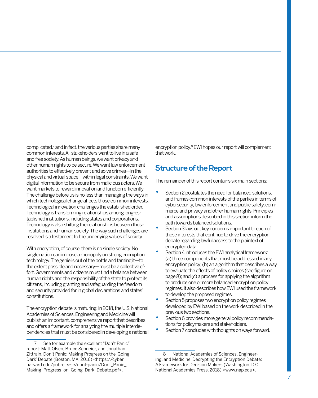complicated,<sup>7</sup> and in fact, the various parties share many common interests. All stakeholders want to live in a safe and free society. As human beings, we want privacy and other human rights to be secure. We want law enforcement authorities to effectively prevent and solve crimes—in the physical and virtual space—within legal constraints. We want digital information to be secure from malicious actors. We want markets to reward innovation and function efficiently. The challenge before us is no less than managing the ways in which technological change affects those common interests. Technological innovation challenges the established order. Technology is transforming relationships among long-established institutions, including states and corporations. Technology is also shifting the relationships between those institutions and human society. The way such challenges are resolved is a testament to the underlying values of society.

With encryption, of course, there is no single society. No single nation can impose a monopoly on strong encryption technology. The genie is out of the bottle and taming it—to the extent possible and necessary—must be a collective effort. Governments and citizens must find a balance between human rights and the responsibility of the state to protect its citizens, including granting and safeguarding the freedom and security provided for in global declarations and states' constitutions.

The encryption debate is maturing. In 2018, the U.S. National Academies of Sciences, Engineering and Medicine will publish an important, comprehensive report that describes and offers a framework for analyzing the multiple interdependencies that must be considered in developing a national encryption policy.8 EWI hopes our report will complement that work.

#### **Structure of the Report**

The remainder of this report contains six main sections:

- Section 2 postulates the need for balanced solutions, and frames common interests of the parties in terms of cybersecurity, law enforcement and public safety, commerce and privacy and other human rights. Principles and assumptions described in this section inform the path towards balanced solutions.
- Section 3 lays out key concerns important to each of those interests that continue to drive the encryption debate regarding lawful access to the plaintext of encrypted data.
- Section 4 introduces the EWI analytical framework: (a) three components that must be addressed in any encryption policy; (b) an algorithm that describes a way to evaluate the effects of policy choices (see figure on page 8); and (c) a process for applying the algorithm to produce one or more balanced encryption policy regimes. It also describes how EWI used the framework to develop the proposed regimes.
- Section 5 proposes two encryption policy regimes developed by EWI based on the work described in the previous two sections.
- Section 6 provides more general policy recommendations for policymakers and stakeholders.
- Section 7 concludes with thoughts on ways forward.

8 National Academies of Sciences, Engineering, and Medicine, Decrypting the Encryption Debate: A Framework for Decision Makers (Washington, D.C.: National Academies Press, 2018) <www.nap.edu>.

<sup>7</sup> See for example the excellent "Don't Panic" report: Matt Olsen, Bruce Schneier, and Jonathan Zittrain, Don't Panic: Making Progress on the 'Going Dark' Debate (Boston, MA, 2016) <https://cyber. harvard.edu/pubrelease/dont-panic/Dont\_Panic\_ Making\_Progress\_on\_Going\_Dark\_Debate.pdf>.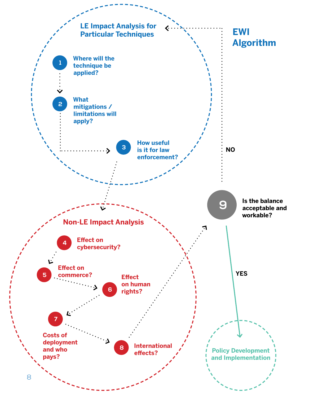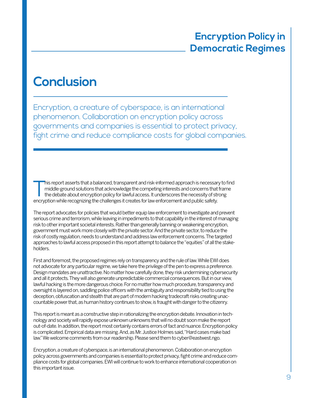## **Conclusion**

Encryption, a creature of cyberspace, is an international phenomenon. Collaboration on encryption policy across governments and companies is essential to protect privacy, fight crime and reduce compliance costs for global companies.

This report asserts that a balanced, transparent and risk-informed approach is necessary to find<br>middle-ground solutions that acknowledge the competing interests and concerns that frame<br>the debate about encryption policy f middle-ground solutions that acknowledge the competing interests and concerns that frame the debate about encryption policy for lawful access. It underscores the necessity of strong encryption while recognizing the challenges it creates for law enforcement and public safety.

The report advocates for policies that would better equip law enforcement to investigate and prevent serious crime and terrorism, while leaving in impediments to that capability in the interest of managing risk to other important societal interests. Rather than generally banning or weakening encryption, government must work more closely with the private sector. And the private sector, to reduce the risk of costly regulation, needs to understand and address law enforcement concerns. The targeted approaches to lawful access proposed in this report attempt to balance the "equities" of all the stakeholders.

First and foremost, the proposed regimes rely on transparency and the rule of law. While EWI does not advocate for any particular regime, we take here the privilege of the pen to express a preference. Design mandates are unattractive. No matter how carefully done, they risk undermining cybersecurity and all it protects. They will also generate unpredictable commercial consequences. But in our view, lawful hacking is the more dangerous choice. For no matter how much procedure, transparency and oversight is layered on, saddling police officers with the ambiguity and responsibility tied to using the deception, obfuscation and stealth that are part of modern hacking tradecraft risks creating unaccountable power that, as human history continues to show, is fraught with danger to the citizenry.

This report is meant as a constructive step in rationalizing the encryption debate. Innovation in technology and society will rapidly expose unknown unknowns that will no doubt soon make the report out-of-date. In addition, the report most certainly contains errors of fact and nuance. Encryption policy is complicated. Empirical data are missing. And, as Mr. Justice Holmes said, "Hard cases make bad law." We welcome comments from our readership. Please send them to cyber@eastwest.ngo.

Encryption, a creature of cyberspace, is an international phenomenon. Collaboration on encryption policy across governments and companies is essential to protect privacy, fight crime and reduce compliance costs for global companies. EWI will continue to work to enhance international cooperation on this important issue.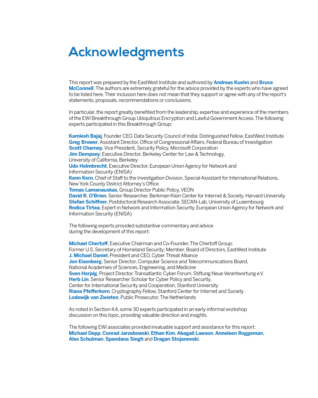## **Acknowledgments**

This report was prepared by the EastWest Institute and authored by **Andreas Kuehn** and **Bruce McConnell**. The authors are extremely grateful for the advice provided by the experts who have agreed to be listed here. Their inclusion here does not mean that they support or agree with any of the report's statements, proposals, recommendations or conclusions.

In particular, the report greatly benefited from the leadership, expertise and experience of the members of the EWI Breakthrough Group Ubiquitous Encryption and Lawful Government Access. The following experts participated in this Breakthrough Group:

**Kamlesh Bajaj**, Founder CEO, Data Security Council of India; Distinguished Fellow, EastWest Institute **Greg Brower**, Assistant Director, Office of Congressional Affairs, Federal Bureau of Investigation **Scott Charney**, Vice President, Security Policy, Microsoft Corporation **Jim Dempsey, Executive Director, Berkeley Center for Law & Technology,** University of California, Berkeley **Udo Helmbrecht**, Executive Director, European Union Agency for Network and Information Security (ENISA) **Kenn Kern**, Chief of Staff to the Investigation Division, Special Assistant for International Relations, New York County District Attorney's Office **Tomas Lamanauskas**, Group Director Public Policy, VEON **David R. O'Brien**, Senior Researcher, Berkman Klein Center for Internet & Society, Harvard University **Stefan Schiffner**, Postdoctoral Research Associate, SECAN-Lab, University of Luxembourg **Rodica Tirtea**, Expert in Network and Information Security, European Union Agency for Network and Information Security (ENISA)

The following experts provided substantive commentary and advice during the development of this report:

**Michael Chertoff**, Executive Chairman and Co-Founder, The Chertoff Group; Former U.S. Secretary of Homeland Security; Member, Board of Directors, EastWest Institute **J. Michael Daniel**, President and CEO, Cyber Threat Alliance **Jon Eisenberg**, Senior Director, Computer Science and Telecommunications Board, National Academies of Sciences, Engineering, and Medicine **Sven Herpig**, Project Director, Transatlantic Cyber Forum, Stiftung Neue Verantwortung e.V. **Herb Lin**, Senior Researcher Scholar for Cyber Policy and Security, Center for International Security and Cooperation, Stanford University **Riana Pfefferkorn**, Cryptography Fellow, Stanford Center for Internet and Society **Lodewijk van Zwieten**, Public Prosecutor, The Netherlands

As noted in Section 4.4, some 30 experts participated in an early informal workshop discussion on this topic, providing valuable direction and insights.

The following EWI associates provided invaluable support and assistance for this report: **Michael Depp**, **Conrad Jarzebowski**, **Ethan Kim**, **Abagail Lawson**, **Anneleen Roggeman**, **Alex Schulman**, **Spandana Singh** and **Dragan Stojanovski**.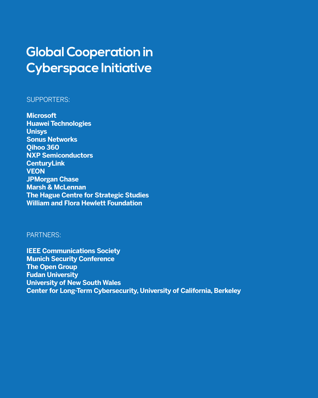# **Global Cooperation in Cyberspace Initiative**

#### SUPPORTERS:

**Microsoft Huawei Technologies Unisys Sonus Networks Qihoo 360 NXP Semiconductors CenturyLink VEON JPMorgan Chase Marsh & McLennan The Hague Centre for Strategic Studies William and Flora Hewlett Foundation**

#### PARTNERS:

**IEEE Communications Society Munich Security Conference The Open Group Fudan University University of New South Wales Center for Long-Term Cybersecurity, University of California, Berkeley**